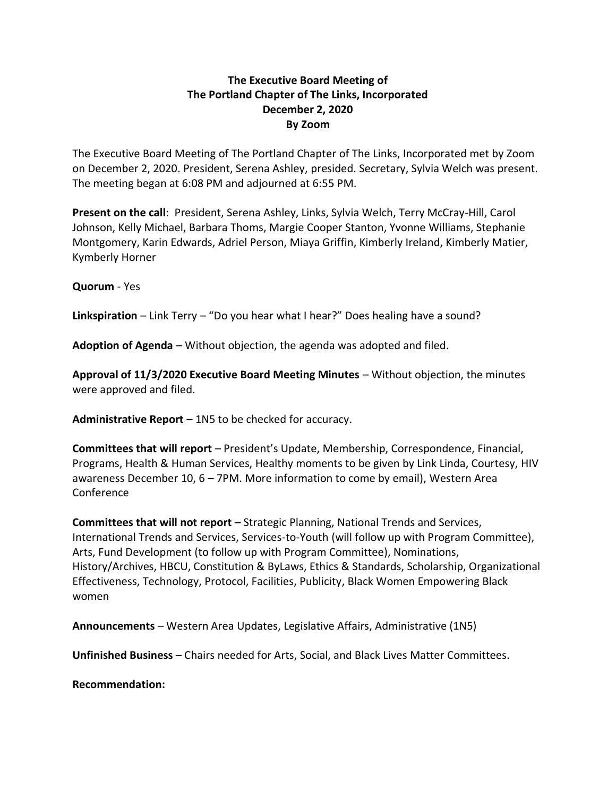## **The Executive Board Meeting of The Portland Chapter of The Links, Incorporated December 2, 2020 By Zoom**

The Executive Board Meeting of The Portland Chapter of The Links, Incorporated met by Zoom on December 2, 2020. President, Serena Ashley, presided. Secretary, Sylvia Welch was present. The meeting began at 6:08 PM and adjourned at 6:55 PM.

**Present on the call**: President, Serena Ashley, Links, Sylvia Welch, Terry McCray-Hill, Carol Johnson, Kelly Michael, Barbara Thoms, Margie Cooper Stanton, Yvonne Williams, Stephanie Montgomery, Karin Edwards, Adriel Person, Miaya Griffin, Kimberly Ireland, Kimberly Matier, Kymberly Horner

**Quorum** - Yes

**Linkspiration** – Link Terry – "Do you hear what I hear?" Does healing have a sound?

**Adoption of Agenda** – Without objection, the agenda was adopted and filed.

**Approval of 11/3/2020 Executive Board Meeting Minutes** – Without objection, the minutes were approved and filed.

**Administrative Report** – 1N5 to be checked for accuracy.

**Committees that will report** – President's Update, Membership, Correspondence, Financial, Programs, Health & Human Services, Healthy moments to be given by Link Linda, Courtesy, HIV awareness December 10, 6 – 7PM. More information to come by email), Western Area Conference

**Committees that will not report** – Strategic Planning, National Trends and Services, International Trends and Services, Services-to-Youth (will follow up with Program Committee), Arts, Fund Development (to follow up with Program Committee), Nominations, History/Archives, HBCU, Constitution & ByLaws, Ethics & Standards, Scholarship, Organizational Effectiveness, Technology, Protocol, Facilities, Publicity, Black Women Empowering Black women

**Announcements** – Western Area Updates, Legislative Affairs, Administrative (1N5)

**Unfinished Business** – Chairs needed for Arts, Social, and Black Lives Matter Committees.

**Recommendation:**